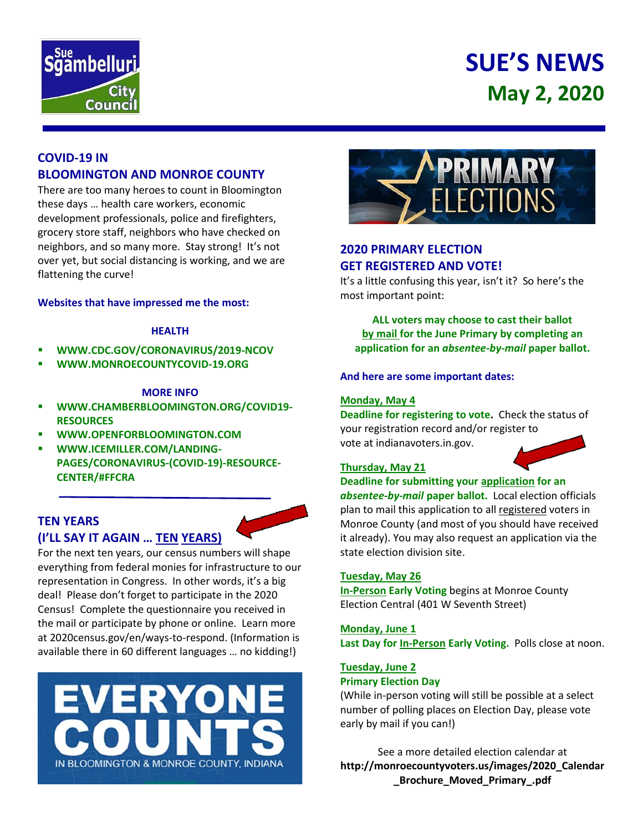

# **SUE'S NEWS May 2, 2020**

## **COVID-19 IN BLOOMINGTON AND MONROE COUNTY**

There are too many heroes to count in Bloomington these days … health care workers, economic development professionals, police and firefighters, grocery store staff, neighbors who have checked on neighbors, and so many more. Stay strong! It's not over yet, but social distancing is working, and we are flattening the curve!

#### **Websites that have impressed me the most:**

#### **HEALTH**

- **WWW.CDC.GOV/CORONAVIRUS/2019-NCOV**
- **WWW.MONROECOUNTYCOVID-19.ORG**

#### **MORE INFO**

- **WWW.CHAMBERBLOOMINGTON.ORG/COVID19- RESOURCES**
- **WWW.OPENFORBLOOMINGTON.COM**
- **WWW.ICEMILLER.COM/LANDING-PAGES/CORONAVIRUS-(COVID-19)-RESOURCE-CENTER/#FFCRA**

# **TEN YEARS (I'LL SAY IT AGAIN … TEN YEARS)**

For the next ten years, our census numbers will shape everything from federal monies for infrastructure to our representation in Congress. In other words, it's a big deal! Please don't forget to participate in the 2020 Census! Complete the questionnaire you received in the mail or participate by phone or online. Learn more at 2020census.gov/en/ways-to-respond. (Information is available there in 60 different languages … no kidding!)





### **2020 PRIMARY ELECTION GET REGISTERED AND VOTE!**

It's a little confusing this year, isn't it? So here's the most important point:

**ALL voters may choose to cast their ballot by mail for the June Primary by completing an application for an** *absentee-by-mail* **paper ballot.**

#### **And here are some important dates:**

#### **Monday, May 4**

**Deadline for registering to vote.** Check the status of your registration record and/or register to vote at indianavoters.in.gov.

### **Thursday, May 21**

**Deadline for submitting your application for an**  *absentee-by-mail* **paper ballot.** Local election officials plan to mail this application to all registered voters in Monroe County (and most of you should have received it already). You may also request an application via the state election division site.

#### **Tuesday, May 26**

**In-Person Early Voting** begins at Monroe County Election Central (401 W Seventh Street)

#### **Monday, June 1**

**Last Day for In-Person Early Voting.** Polls close at noon.

# **Tuesday, June 2**

### **Primary Election Day**

(While in-person voting will still be possible at a select number of polling places on Election Day, please vote early by mail if you can!)

See a more detailed election calendar at **http://monroecountyvoters.us/images/2020\_Calendar \_Brochure\_Moved\_Primary\_.pdf**